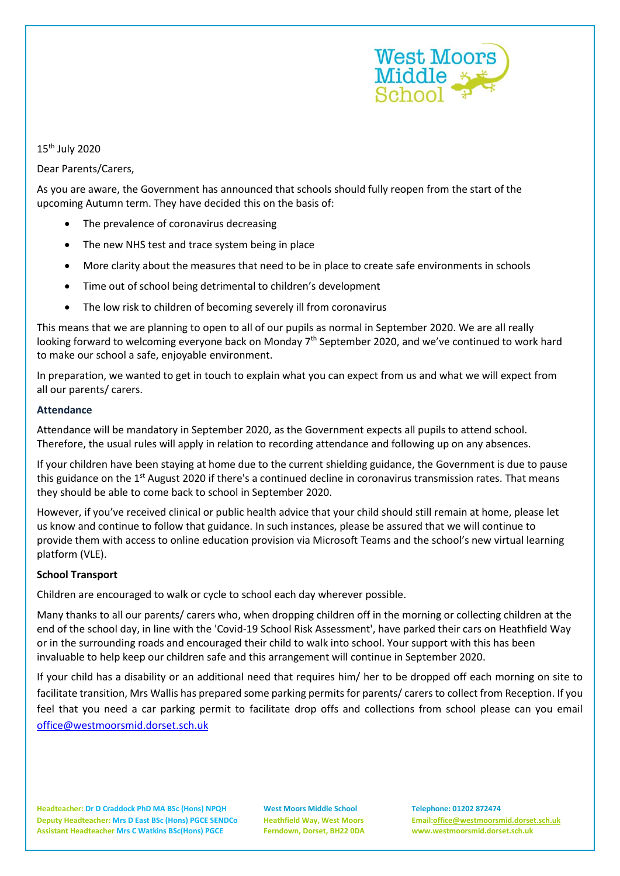

15th July 2020

Dear Parents/Carers,

As you are aware, the Government has announced that schools should fully reopen from the start of the upcoming Autumn term. They have decided this on the basis of:

- The prevalence of coronavirus decreasing
- The new NHS test and trace system being in place
- More clarity about the measures that need to be in place to create safe environments in schools
- Time out of school being detrimental to children's development
- The low risk to children of becoming severely ill from coronavirus

This means that we are planning to open to all of our pupils as normal in September 2020. We are all really looking forward to welcoming everyone back on Monday 7<sup>th</sup> September 2020, and we've continued to work hard to make our school a safe, enjoyable environment.

In preparation, we wanted to get in touch to explain what you can expect from us and what we will expect from all our parents/ carers.

### **Attendance**

Attendance will be mandatory in September 2020, as the Government expects all pupils to attend school. Therefore, the usual rules will apply in relation to recording attendance and following up on any absences.

If your children have been staying at home due to the current shielding guidance, the Government is due to pause this guidance on the 1<sup>st</sup> August 2020 if there's a continued decline in coronavirus transmission rates. That means they should be able to come back to school in September 2020.

However, if you've received clinical or public health advice that your child should still remain at home, please let us know and continue to follow that guidance. In such instances, please be assured that we will continue to provide them with access to online education provision via Microsoft Teams and the school's new virtual learning platform (VLE).

### **School Transport**

Children are encouraged to walk or cycle to school each day wherever possible.

Many thanks to all our parents/ carers who, when dropping children off in the morning or collecting children at the end of the school day, in line with the 'Covid-19 School Risk Assessment', have parked their cars on Heathfield Way or in the surrounding roads and encouraged their child to walk into school. Your support with this has been invaluable to help keep our children safe and this arrangement will continue in September 2020.

If your child has a disability or an additional need that requires him/ her to be dropped off each morning on site to facilitate transition, Mrs Wallis has prepared some parking permits for parents/ carers to collect from Reception. If you feel that you need a car parking permit to facilitate drop offs and collections from school please can you email [office@westmoorsmid.dorset.sch.uk](mailto:office@westmoorsmid.dorset.sch.uk)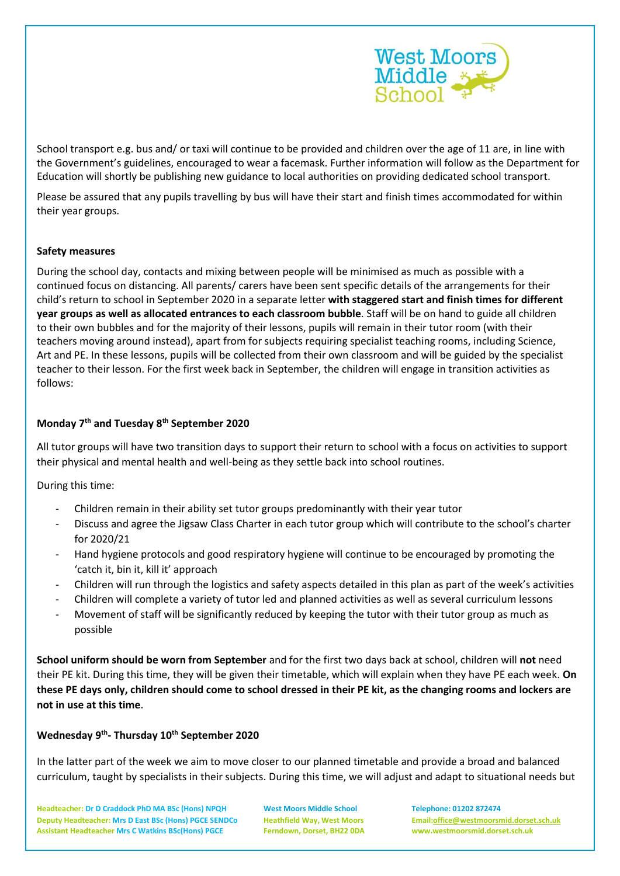

School transport e.g. bus and/ or taxi will continue to be provided and children over the age of 11 are, in line with the Government's guidelines, encouraged to wear a facemask. Further information will follow as the Department for Education will shortly be publishing new guidance to local authorities on providing dedicated school transport.

Please be assured that any pupils travelling by bus will have their start and finish times accommodated for within their year groups.

### **Safety measures**

During the school day, contacts and mixing between people will be minimised as much as possible with a continued focus on distancing. All parents/ carers have been sent specific details of the arrangements for their child's return to school in September 2020 in a separate letter **with staggered start and finish times for different year groups as well as allocated entrances to each classroom bubble**. Staff will be on hand to guide all children to their own bubbles and for the majority of their lessons, pupils will remain in their tutor room (with their teachers moving around instead), apart from for subjects requiring specialist teaching rooms, including Science, Art and PE. In these lessons, pupils will be collected from their own classroom and will be guided by the specialist teacher to their lesson. For the first week back in September, the children will engage in transition activities as follows:

### **Monday 7th and Tuesday 8th September 2020**

All tutor groups will have two transition days to support their return to school with a focus on activities to support their physical and mental health and well-being as they settle back into school routines.

During this time:

- Children remain in their ability set tutor groups predominantly with their year tutor
- Discuss and agree the Jigsaw Class Charter in each tutor group which will contribute to the school's charter for 2020/21
- Hand hygiene protocols and good respiratory hygiene will continue to be encouraged by promoting the 'catch it, bin it, kill it' approach
- Children will run through the logistics and safety aspects detailed in this plan as part of the week's activities
- Children will complete a variety of tutor led and planned activities as well as several curriculum lessons
- Movement of staff will be significantly reduced by keeping the tutor with their tutor group as much as possible

**School uniform should be worn from September** and for the first two days back at school, children will **not** need their PE kit. During this time, they will be given their timetable, which will explain when they have PE each week. **On these PE days only, children should come to school dressed in their PE kit, as the changing rooms and lockers are not in use at this time**.

# **Wednesday 9th - Thursday 10th September 2020**

In the latter part of the week we aim to move closer to our planned timetable and provide a broad and balanced curriculum, taught by specialists in their subjects. During this time, we will adjust and adapt to situational needs but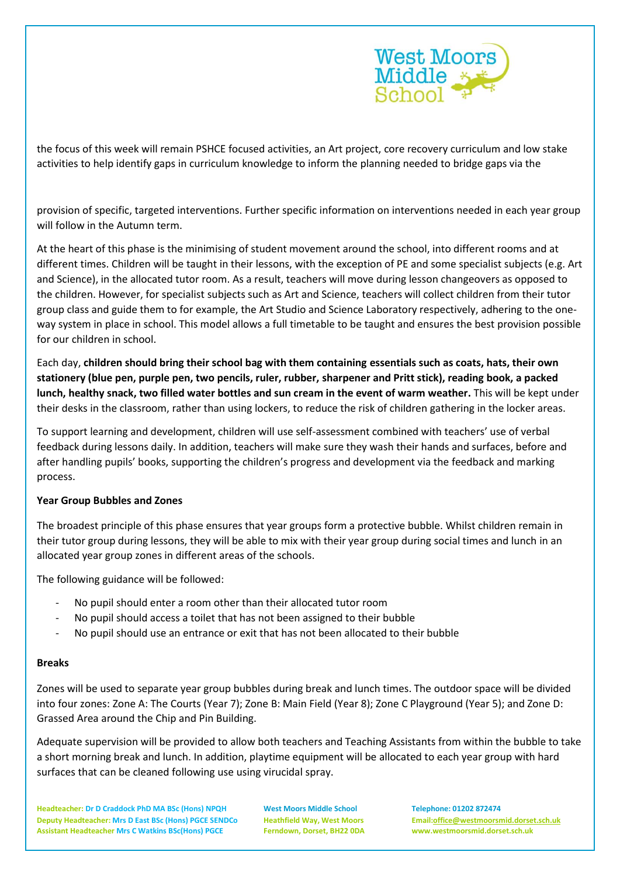

the focus of this week will remain PSHCE focused activities, an Art project, core recovery curriculum and low stake activities to help identify gaps in curriculum knowledge to inform the planning needed to bridge gaps via the

provision of specific, targeted interventions. Further specific information on interventions needed in each year group will follow in the Autumn term.

At the heart of this phase is the minimising of student movement around the school, into different rooms and at different times. Children will be taught in their lessons, with the exception of PE and some specialist subjects (e.g. Art and Science), in the allocated tutor room. As a result, teachers will move during lesson changeovers as opposed to the children. However, for specialist subjects such as Art and Science, teachers will collect children from their tutor group class and guide them to for example, the Art Studio and Science Laboratory respectively, adhering to the oneway system in place in school. This model allows a full timetable to be taught and ensures the best provision possible for our children in school.

Each day, **children should bring their school bag with them containing essentials such as coats, hats, their own stationery (blue pen, purple pen, two pencils, ruler, rubber, sharpener and Pritt stick), reading book, a packed lunch, healthy snack, two filled water bottles and sun cream in the event of warm weather.** This will be kept under their desks in the classroom, rather than using lockers, to reduce the risk of children gathering in the locker areas.

To support learning and development, children will use self-assessment combined with teachers' use of verbal feedback during lessons daily. In addition, teachers will make sure they wash their hands and surfaces, before and after handling pupils' books, supporting the children's progress and development via the feedback and marking process.

### **Year Group Bubbles and Zones**

The broadest principle of this phase ensures that year groups form a protective bubble. Whilst children remain in their tutor group during lessons, they will be able to mix with their year group during social times and lunch in an allocated year group zones in different areas of the schools.

The following guidance will be followed:

- No pupil should enter a room other than their allocated tutor room
- No pupil should access a toilet that has not been assigned to their bubble
- No pupil should use an entrance or exit that has not been allocated to their bubble

### **Breaks**

Zones will be used to separate year group bubbles during break and lunch times. The outdoor space will be divided into four zones: Zone A: The Courts (Year 7); Zone B: Main Field (Year 8); Zone C Playground (Year 5); and Zone D: Grassed Area around the Chip and Pin Building.

Adequate supervision will be provided to allow both teachers and Teaching Assistants from within the bubble to take a short morning break and lunch. In addition, playtime equipment will be allocated to each year group with hard surfaces that can be cleaned following use using virucidal spray.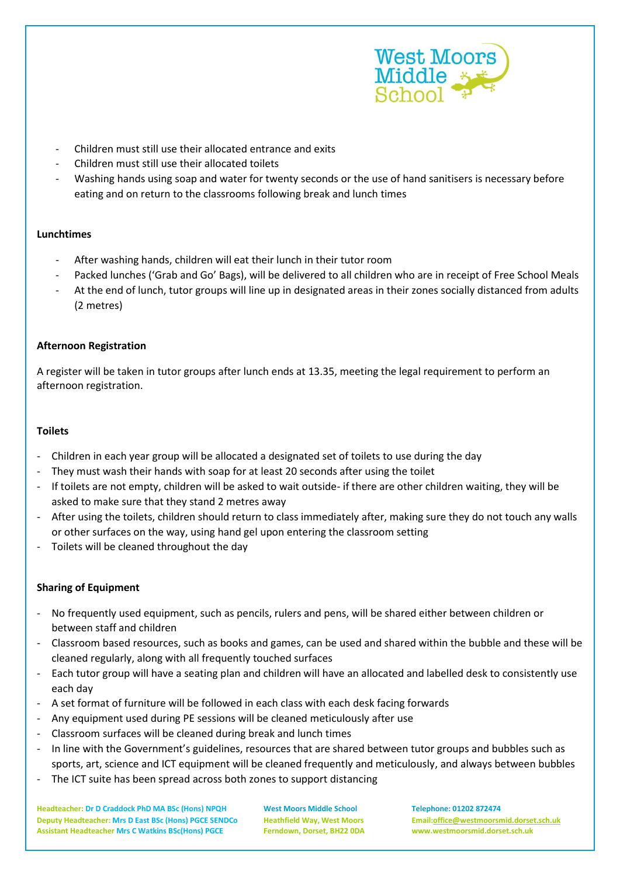

- Children must still use their allocated entrance and exits
- Children must still use their allocated toilets
- Washing hands using soap and water for twenty seconds or the use of hand sanitisers is necessary before eating and on return to the classrooms following break and lunch times

## **Lunchtimes**

- After washing hands, children will eat their lunch in their tutor room
- Packed lunches ('Grab and Go' Bags), will be delivered to all children who are in receipt of Free School Meals
- At the end of lunch, tutor groups will line up in designated areas in their zones socially distanced from adults (2 metres)

## **Afternoon Registration**

A register will be taken in tutor groups after lunch ends at 13.35, meeting the legal requirement to perform an afternoon registration.

### **Toilets**

- Children in each year group will be allocated a designated set of toilets to use during the day
- They must wash their hands with soap for at least 20 seconds after using the toilet
- If toilets are not empty, children will be asked to wait outside- if there are other children waiting, they will be asked to make sure that they stand 2 metres away
- After using the toilets, children should return to class immediately after, making sure they do not touch any walls or other surfaces on the way, using hand gel upon entering the classroom setting
- Toilets will be cleaned throughout the day

# **Sharing of Equipment**

- No frequently used equipment, such as pencils, rulers and pens, will be shared either between children or between staff and children
- Classroom based resources, such as books and games, can be used and shared within the bubble and these will be cleaned regularly, along with all frequently touched surfaces
- Each tutor group will have a seating plan and children will have an allocated and labelled desk to consistently use each day
- A set format of furniture will be followed in each class with each desk facing forwards
- Any equipment used during PE sessions will be cleaned meticulously after use
- Classroom surfaces will be cleaned during break and lunch times
- In line with the Government's guidelines, resources that are shared between tutor groups and bubbles such as sports, art, science and ICT equipment will be cleaned frequently and meticulously, and always between bubbles
- The ICT suite has been spread across both zones to support distancing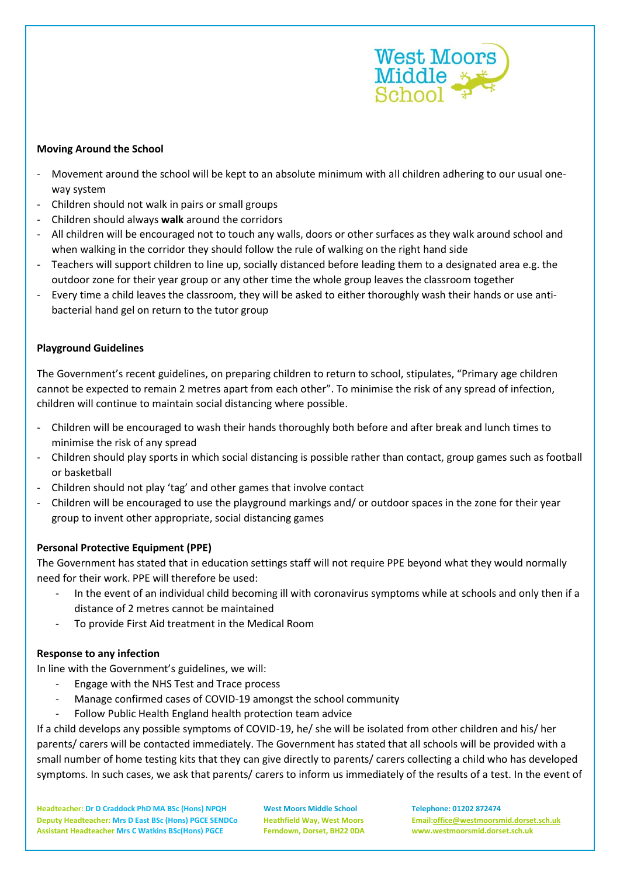

### **Moving Around the School**

- Movement around the school will be kept to an absolute minimum with all children adhering to our usual oneway system
- Children should not walk in pairs or small groups
- Children should always **walk** around the corridors
- All children will be encouraged not to touch any walls, doors or other surfaces as they walk around school and when walking in the corridor they should follow the rule of walking on the right hand side
- Teachers will support children to line up, socially distanced before leading them to a designated area e.g. the outdoor zone for their year group or any other time the whole group leaves the classroom together
- Every time a child leaves the classroom, they will be asked to either thoroughly wash their hands or use antibacterial hand gel on return to the tutor group

## **Playground Guidelines**

The Government's recent guidelines, on preparing children to return to school, stipulates, "Primary age children cannot be expected to remain 2 metres apart from each other". To minimise the risk of any spread of infection, children will continue to maintain social distancing where possible.

- Children will be encouraged to wash their hands thoroughly both before and after break and lunch times to minimise the risk of any spread
- Children should play sports in which social distancing is possible rather than contact, group games such as football or basketball
- Children should not play 'tag' and other games that involve contact
- Children will be encouraged to use the playground markings and/ or outdoor spaces in the zone for their year group to invent other appropriate, social distancing games

# **Personal Protective Equipment (PPE)**

The Government has stated that in education settings staff will not require PPE beyond what they would normally need for their work. PPE will therefore be used:

- In the event of an individual child becoming ill with coronavirus symptoms while at schools and only then if a distance of 2 metres cannot be maintained
- To provide First Aid treatment in the Medical Room

### **Response to any infection**

In line with the Government's guidelines, we will:

- Engage with the NHS Test and Trace process
- Manage confirmed cases of COVID-19 amongst the school community
- Follow Public Health England health protection team advice

If a child develops any possible symptoms of COVID-19, he/ she will be isolated from other children and his/ her parents/ carers will be contacted immediately. The Government has stated that all schools will be provided with a small number of home testing kits that they can give directly to parents/ carers collecting a child who has developed symptoms. In such cases, we ask that parents/ carers to inform us immediately of the results of a test. In the event of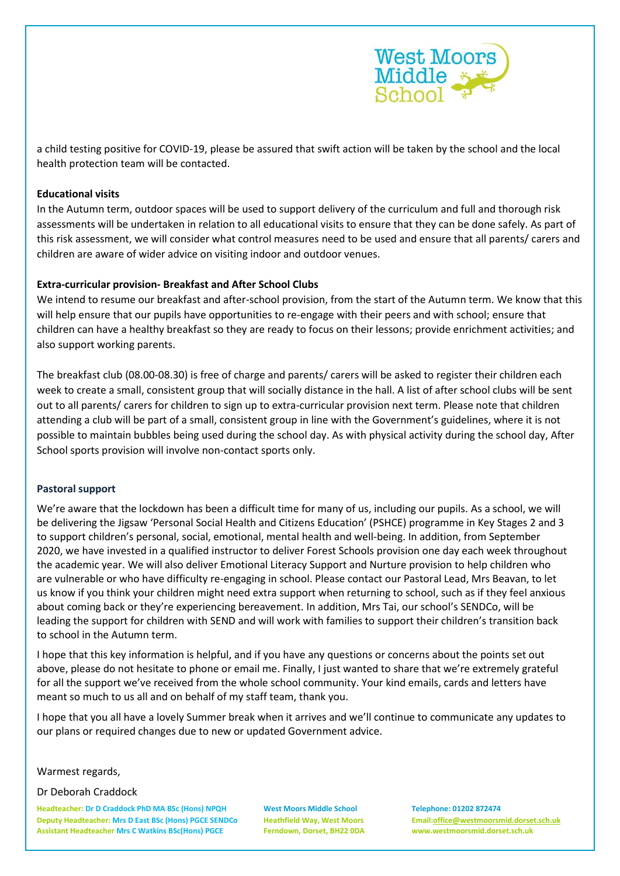

a child testing positive for COVID-19, please be assured that swift action will be taken by the school and the local health protection team will be contacted.

### **Educational visits**

In the Autumn term, outdoor spaces will be used to support delivery of the curriculum and full and thorough risk assessments will be undertaken in relation to all educational visits to ensure that they can be done safely. As part of this risk assessment, we will consider what control measures need to be used and ensure that all parents/ carers and children are aware of wider advice on visiting indoor and outdoor venues.

### **Extra-curricular provision- Breakfast and After School Clubs**

We intend to resume our breakfast and after-school provision, from the start of the Autumn term. We know that this will help ensure that our pupils have opportunities to re-engage with their peers and with school; ensure that children can have a healthy breakfast so they are ready to focus on their lessons; provide enrichment activities; and also support working parents.

The breakfast club (08.00-08.30) is free of charge and parents/ carers will be asked to register their children each week to create a small, consistent group that will socially distance in the hall. A list of after school clubs will be sent out to all parents/ carers for children to sign up to extra-curricular provision next term. Please note that children attending a club will be part of a small, consistent group in line with the Government's guidelines, where it is not possible to maintain bubbles being used during the school day. As with physical activity during the school day, After School sports provision will involve non-contact sports only.

#### **Pastoral support**

We're aware that the lockdown has been a difficult time for many of us, including our pupils. As a school, we will be delivering the Jigsaw 'Personal Social Health and Citizens Education' (PSHCE) programme in Key Stages 2 and 3 to support children's personal, social, emotional, mental health and well-being. In addition, from September 2020, we have invested in a qualified instructor to deliver Forest Schools provision one day each week throughout the academic year. We will also deliver Emotional Literacy Support and Nurture provision to help children who are vulnerable or who have difficulty re-engaging in school. Please contact our Pastoral Lead, Mrs Beavan, to let us know if you think your children might need extra support when returning to school, such as if they feel anxious about coming back or they're experiencing bereavement. In addition, Mrs Tai, our school's SENDCo, will be leading the support for children with SEND and will work with families to support their children's transition back to school in the Autumn term.

I hope that this key information is helpful, and if you have any questions or concerns about the points set out above, please do not hesitate to phone or email me. Finally, I just wanted to share that we're extremely grateful for all the support we've received from the whole school community. Your kind emails, cards and letters have meant so much to us all and on behalf of my staff team, thank you.

I hope that you all have a lovely Summer break when it arrives and we'll continue to communicate any updates to our plans or required changes due to new or updated Government advice.

### Warmest regards,

Dr Deborah Craddock